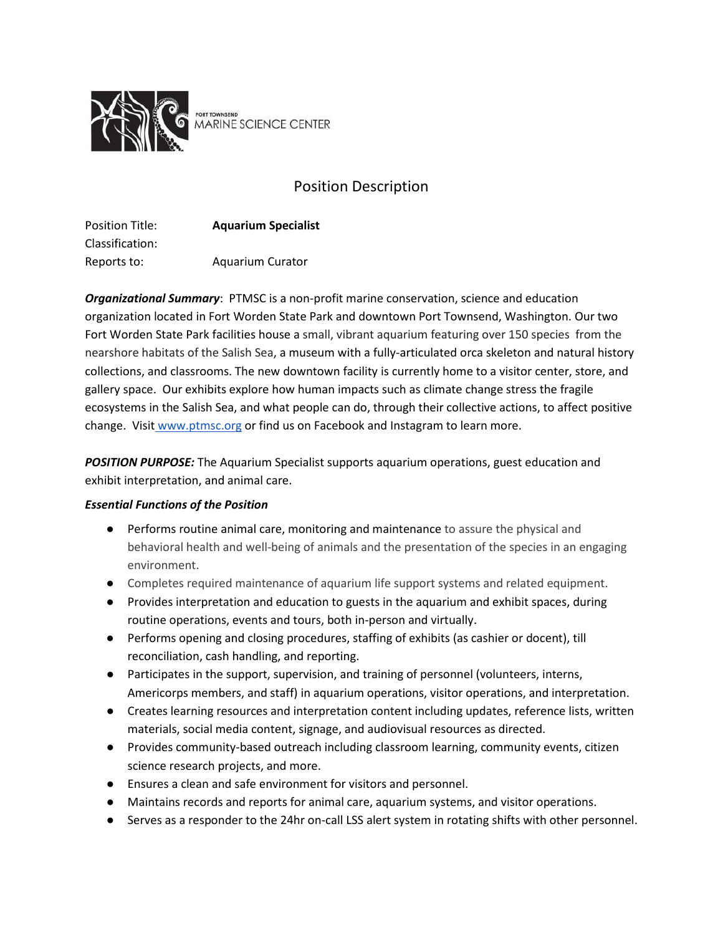

port townsend<br>MARINE SCIENCE CENTER

# Position Description

| <b>Position Title:</b> | <b>Aquarium Specialist</b> |
|------------------------|----------------------------|
| Classification:        |                            |
| Reports to:            | <b>Aquarium Curator</b>    |

*Organizational Summary*: PTMSC is a non-profit marine conservation, science and education organization located in Fort Worden State Park and downtown Port Townsend, Washington. Our two Fort Worden State Park facilities house a small, vibrant aquarium featuring over 150 species from the nearshore habitats of the Salish Sea, a museum with a fully-articulated orca skeleton and natural history collections, and classrooms. The new downtown facility is currently home to a visitor center, store, and gallery space. Our exhibits explore how human impacts such as climate change stress the fragile ecosystems in the Salish Sea, and what people can do, through their collective actions, to affect positive change. Visit [www.ptmsc.org](http://www.ptmsc.org/) or find us on Facebook and Instagram to learn more.

*POSITION PURPOSE:* The Aquarium Specialist supports aquarium operations, guest education and exhibit interpretation, and animal care.

## *Essential Functions of the Position*

- Performs routine animal care, monitoring and maintenance to assure the physical and behavioral health and well-being of animals and the presentation of the species in an engaging environment.
- Completes required maintenance of aquarium life support systems and related equipment.
- Provides interpretation and education to guests in the aquarium and exhibit spaces, during routine operations, events and tours, both in-person and virtually.
- Performs opening and closing procedures, staffing of exhibits (as cashier or docent), till reconciliation, cash handling, and reporting.
- Participates in the support, supervision, and training of personnel (volunteers, interns, Americorps members, and staff) in aquarium operations, visitor operations, and interpretation.
- Creates learning resources and interpretation content including updates, reference lists, written materials, social media content, signage, and audiovisual resources as directed.
- Provides community-based outreach including classroom learning, community events, citizen science research projects, and more.
- Ensures a clean and safe environment for visitors and personnel.
- Maintains records and reports for animal care, aquarium systems, and visitor operations.
- Serves as a responder to the 24hr on-call LSS alert system in rotating shifts with other personnel.